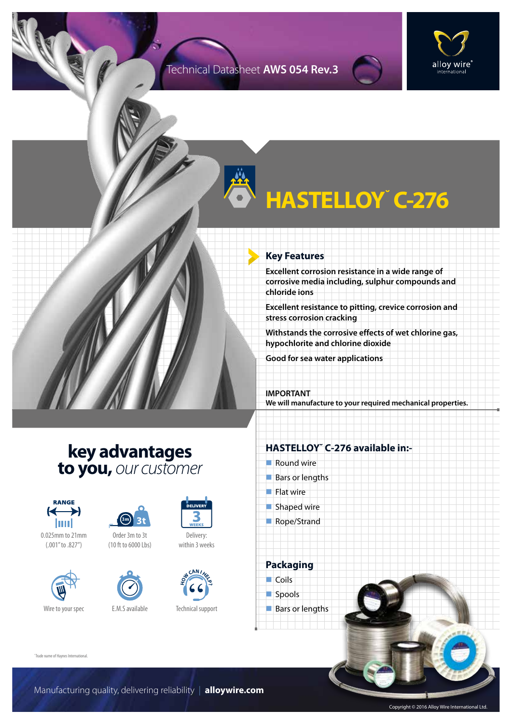#### Technical Datasheet **AWS 054 Rev.3**



# **HASTELLOY˘ C-276**

#### **Key Features**

**Excellent corrosion resistance in a wide range of corrosive media including, sulphur compounds and chloride ions**

**Excellent resistance to pitting, crevice corrosion and stress corrosion cracking**

**Withstands the corrosive effects of wet chlorine gas, hypochlorite and chlorine dioxide**

**Good for sea water applications**

#### **IMPORTANT We will manufacture to your required mechanical properties.**

### **key advantages to you,** *our customer*



0.025mm to 21mm (.001" to .827")





(10 ft to 6000 Lbs)



Delivery: within 3 weeks



Technical support

#### **HASTELLOY˘ C-276 available in:-**

- $\blacksquare$  Round wire
- $\blacksquare$  Bars or lengths
- $\blacksquare$  Flat wire
- $\blacksquare$  Shaped wire
- Rope/Strand

**Packaging**  $\Box$  Coils spools  $\blacksquare$  Bars or lengths

˘Trade name of Haynes International.

Manufacturing quality, delivering reliability | **alloywire.com**

Copyright © 2016 Alloy Wire International Ltd.